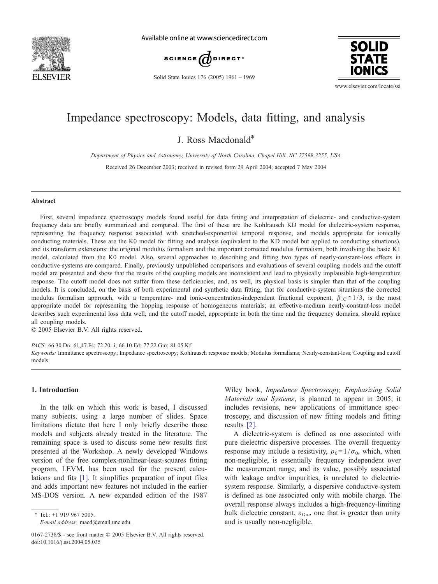

Available online at www.sciencedirect.com



**SOLID STATE** 

Solid State Ionics 176 (2005) 1961 – 1969

www.elsevier.com/locate/ssi

# Impedance spectroscopy: Models, data fitting, and analysis

J. Ross Macdonald\*

Department of Physics and Astronomy, University of North Carolina, Chapel Hill, NC 27599-3255, USA

Received 26 December 2003; received in revised form 29 April 2004; accepted 7 May 2004

#### Abstract

First, several impedance spectroscopy models found useful for data fitting and interpretation of dielectric- and conductive-system frequency data are briefly summarized and compared. The first of these are the Kohlrausch KD model for dielectric-system response, representing the frequency response associated with stretched-exponential temporal response, and models appropriate for ionically conducting materials. These are the K0 model for fitting and analysis (equivalent to the KD model but applied to conducting situations), and its transform extensions: the original modulus formalism and the important corrected modulus formalism, both involving the basic K1 model, calculated from the K0 model. Also, several approaches to describing and fitting two types of nearly-constant-loss effects in conductive-systems are compared. Finally, previously unpublished comparisons and evaluations of several coupling models and the cutoff model are presented and show that the results of the coupling models are inconsistent and lead to physically implausible high-temperature response. The cutoff model does not suffer from these deficiencies, and, as well, its physical basis is simpler than that of the coupling models. It is concluded, on the basis of both experimental and synthetic data fitting, that for conductive-system situations the corrected modulus formalism approach, with a temperature- and ionic-concentration-independent fractional exponent,  $\beta_{1C} \approx 1/3$ , is the most appropriate model for representing the hopping response of homogeneous materials; an effective-medium nearly-constant-loss model describes such experimental loss data well; and the cutoff model, appropriate in both the time and the frequency domains, should replace all coupling models.

 $© 2005 Elsevier B.V. All rights reserved.$ 

PACS: 66.30.Dn; 61,47.Fs; 72.20.-i; 66.10.Ed; 77.22.Gm; 81.05.Kf Keywords: Immittance spectroscopy; Impedance spectroscopy; Kohlrausch response models; Modulus formalisms; Nearly-constant-loss; Coupling and cutoff models

# 1. Introduction

In the talk on which this work is based, I discussed many subjects, using a large number of slides. Space limitations dictate that here I only briefly describe those models and subjects already treated in the literature. The remaining space is used to discuss some new results first presented at the Workshop. A newly developed Windows version of the free complex-nonlinear-least-squares fitting program, LEVM, has been used for the present calculations and fits [\[1\].](#page-8-0) It simplifies preparation of input files and adds important new features not included in the earlier MS-DOS version. A new expanded edition of the 1987

\* Tel.: +1 919 967 5005.

E-mail address: macd@email.unc.edu.

Wiley book, Impedance Spectroscopy, Emphasizing Solid Materials and Systems, is planned to appear in 2005; it includes revisions, new applications of immittance spectroscopy, and discussion of new fitting models and fitting results [\[2\].](#page-8-0)

A dielectric-system is defined as one associated with pure dielectric dispersive processes. The overall frequency response may include a resistivity,  $\rho_0=1/\sigma_0$ , which, when non-negligible, is essentially frequency independent over the measurement range, and its value, possibly associated with leakage and/or impurities, is unrelated to dielectricsystem response. Similarly, a dispersive conductive-system is defined as one associated only with mobile charge. The overall response always includes a high-frequency-limiting bulk dielectric constant,  $\varepsilon_{D\infty}$ , one that is greater than unity and is usually non-negligible.

<sup>0167-2738/\$ -</sup> see front matter © 2005 Elsevier B.V. All rights reserved. doi:10.1016/j.ssi.2004.05.035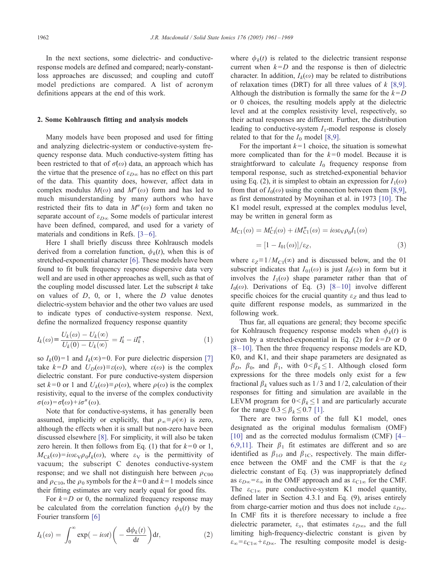In the next sections, some dielectric- and conductiveresponse models are defined and compared; nearly-constantloss approaches are discussed; and coupling and cutoff model predictions are compared. A list of acronym definitions appears at the end of this work.

#### 2. Some Kohlrausch fitting and analysis models

Many models have been proposed and used for fitting and analyzing dielectric-system or conductive-system frequency response data. Much conductive-system fitting has been restricted to that of  $\sigma(\omega)$  data, an approach which has the virtue that the presence of  $\varepsilon_{D\infty}$  has no effect on this part of the data. This quantity does, however, affect data in complex modulus  $M(\omega)$  and  $M''(\omega)$  form and has led to much misunderstanding by many authors who have restricted their fits to data in  $M''(\omega)$  form and taken no separate account of  $\varepsilon_{D\infty}$  Some models of particular interest have been defined, compared, and used for a variety of materials and conditions in Refs.  $[3-6]$ .

Here I shall briefly discuss three Kohlrausch models derived from a correlation function,  $\phi_k(t)$ , when this is of stretched-exponential character [\[6\].](#page-8-0) These models have been found to fit bulk frequency response dispersive data very well and are used in other approaches as well, such as that of the coupling model discussed later. Let the subscript  $k$  take on values of  $D$ ,  $0$ , or 1, where the  $D$  value denotes dielectric-system behavior and the other two values are used to indicate types of conductive-system response. Next, define the normalized frequency response quantity

$$
I_k(\omega) \equiv \frac{U_k(\omega) - U_k(\infty)}{U_k(0) - U_k(\infty)} = I'_k - iI''_k, \qquad (1)
$$

so  $I_k(0)=1$  and  $I_k(\infty)=0$ . For pure dielectric dispersion [\[7\]](#page-8-0) take  $k=D$  and  $U_D(\omega)\equiv \varepsilon(\omega)$ , where  $\varepsilon(\omega)$  is the complex dielectric constant. For pure conductive-system dispersion set  $k=0$  or 1 and  $U_k(\omega) \equiv \rho(\omega)$ , where  $\rho(\omega)$  is the complex resistivity, equal to the inverse of the complex conductivity  $\sigma(\omega) = \sigma(\omega) + i\sigma''(\omega)$ .

Note that for conductive-systems, it has generally been assumed, implicitly or explicitly, that  $\rho_{\infty} \equiv \rho(\infty)$  is zero, although the effects when it is small but non-zero have been discussed elsewhere [\[8\].](#page-8-0) For simplicity, it will also be taken zero herein. It then follows from Eq. (1) that for  $k=0$  or 1,  $M_{Ck}(\omega) = i\omega\varepsilon_V\rho_0I_k(\omega)$ , where  $\varepsilon_V$  is the permittivity of vacuum; the subscript C denotes conductive-system response; and we shall not distinguish here between  $\rho_{\text{C00}}$ and  $\rho_{C10}$ , the  $\rho_0$  symbols for the  $k=0$  and  $k=1$  models since their fitting estimates are very nearly equal for good fits.

For  $k=D$  or 0, the normalized frequency response may be calculated from the correlation function  $\phi_k(t)$  by the Fourier transform [\[6\]](#page-8-0)

$$
I_k(\omega) = \int_0^\infty \exp(-i\omega t) \left( -\frac{\mathrm{d}\phi_k(t)}{\mathrm{d}t} \right) \mathrm{d}t, \tag{2}
$$

where  $\phi_k(t)$  is related to the dielectric transient response current when  $k=D$  and the response is then of dielectric character. In addition,  $I_k(\omega)$  may be related to distributions of relaxation times (DRT) for all three values of  $k$  [\[8,9\].](#page-8-0) Although the distribution is formally the same for the  $k = D$ or 0 choices, the resulting models apply at the dielectric level and at the complex resistivity level, respectively, so their actual responses are different. Further, the distribution leading to conductive-system  $I_1$ -model response is closely related to that for the  $I_0$  model [\[8,9\].](#page-8-0)

For the important  $k=1$  choice, the situation is somewhat more complicated than for the  $k=0$  model. Because it is straightforward to calculate  $I_0$  frequency response from temporal response, such as stretched-exponential behavior using Eq. (2), it is simplest to obtain an expression for  $I_1(\omega)$ from that of  $I_0(\omega)$  using the connection between them [\[8,9\],](#page-8-0) as first demonstrated by Moynihan et al. in 1973 [\[10\].](#page-8-0) The K1 model result, expressed at the complex modulus level, may be written in general form as

$$
M_{\text{C1}}(\omega) = M'_{\text{C1}}(\omega) + iM''_{\text{C1}}(\omega) = i\omega\varepsilon_{\text{V}}\rho_0 I_1(\omega)
$$
  
=  $[1 - I_{01}(\omega)]/\varepsilon_z,$  (3)

where  $\varepsilon_Z \equiv 1/M_{\text{C1}}(\infty)$  and is discussed below, and the 01 subscript indicates that  $I_{01}(\omega)$  is just  $I_0(\omega)$  in form but it involves the  $I_1(\omega)$  shape parameter rather than that of  $I_0(\omega)$ . Derivations of Eq. (3) [8–10] involve different specific choices for the crucial quantity  $\varepsilon_z$  and thus lead to quite different response models, as summarized in the following work.

Thus far, all equations are general; they become specific for Kohlrausch frequency response models when  $\phi_k(t)$  is given by a stretched-exponential in Eq. (2) for  $k=D$  or 0  $[8-10]$ . Then the three frequency response models are KD, K0, and K1, and their shape parameters are designated as  $\beta_D$ ,  $\beta_0$ , and  $\beta_1$ , with  $0 < \beta_k \leq 1$ . Although closed form expressions for the three models only exist for a few fractional  $\beta_k$  values such as 1/3 and 1/2, calculation of their responses for fitting and simulation are available in the LEVM program for  $0 < \beta_k \leq 1$  and are particularly accurate for the range  $0.3 \leq \beta_k \leq 0.7$  [\[1\].](#page-8-0)

There are two forms of the full K1 model, ones designated as the original modulus formalism (OMF)  $[10]$  and as the corrected modulus formalism (CMF)  $[4-$ 6,9,11]. Their  $\beta_1$  fit estimates are different and so are identified as  $\beta_{1O}$  and  $\beta_{1C}$ , respectively. The main difference between the OMF and the CMF is that the  $\varepsilon_Z$ dielectric constant of Eq. (3) was inappropriately defined as  $\varepsilon_{D\infty} = \varepsilon_{\infty}$  in the OMF approach and as  $\varepsilon_{C1\infty}$  for the CMF. The  $\varepsilon_{C1\infty}$  pure conductive-system K1 model quantity, defined later in Section 4.3.1 and Eq. (9), arises entirely from charge-carrier motion and thus does not include  $\varepsilon_{D\infty}$ . In CMF fits it is therefore necessary to include a free dielectric parameter,  $\varepsilon_x$ , that estimates  $\varepsilon_{D\infty}$ , and the full limiting high-frequency-dielectric constant is given by  $\varepsilon_{\infty} = \varepsilon_{C1\infty} + \varepsilon_{D\infty}$ . The resulting composite model is desig-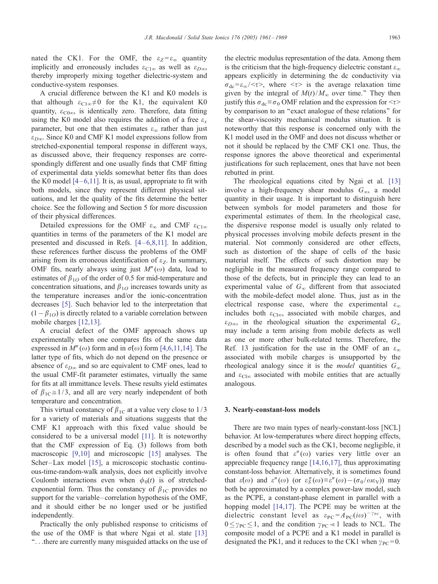nated the CK1. For the OMF, the  $\varepsilon_Z = \varepsilon_{\infty}$  quantity implicitly and erroneously includes  $\varepsilon_{C1\infty}$  as well as  $\varepsilon_{D\infty}$ , thereby improperly mixing together dielectric-system and conductive-system responses.

A crucial difference between the K1 and K0 models is that although  $\varepsilon_{C1\infty} \neq 0$  for the K1, the equivalent K0 quantity,  $\varepsilon_{\text{C0}\infty}$ , is identically zero. Therefore, data fitting using the K0 model also requires the addition of a free  $\varepsilon_x$ parameter, but one that then estimates  $\varepsilon_{\infty}$  rather than just  $\varepsilon_{D\infty}$ . Since K0 and CMF K1 model expressions follow from stretched-exponential temporal response in different ways, as discussed above, their frequency responses are correspondingly different and one usually finds that CMF fitting of experimental data yields somewhat better fits than does the K0 model  $[4-6,11]$ . It is, as usual, appropriate to fit with both models, since they represent different physical situations, and let the quality of the fits determine the better choice. See the following and Section 5 for more discussion of their physical differences.

Detailed expressions for the OMF  $\varepsilon_{\infty}$  and CMF  $\varepsilon_{C1\infty}$ quantities in terms of the parameters of the K1 model are presented and discussed in Refs.  $[4-6,8,11]$ . In addition, these references further discuss the problems of the OMF arising from its erroneous identification of  $\varepsilon_Z$ . In summary, OMF fits, nearly always using just  $M''(\omega)$  data, lead to estimates of  $\beta_{1O}$  of the order of 0.5 for mid-temperature and concentration situations, and  $\beta_{1O}$  increases towards unity as the temperature increases and/or the ionic-concentration decreases [\[5\].](#page-8-0) Such behavior led to the interpretation that  $(1-\beta_{1O})$  is directly related to a variable correlation between mobile charges [\[12,13\].](#page-8-0)

A crucial defect of the OMF approach shows up experimentally when one compares fits of the same data expressed in  $M''(\omega)$  form and in  $\sigma(\omega)$  form [\[4,6,11,14\].](#page-8-0) The latter type of fits, which do not depend on the presence or absence of  $\varepsilon_{D\infty}$  and so are equivalent to CMF ones, lead to the usual CMF-fit parameter estimates, virtually the same for fits at all immittance levels. These results yield estimates of  $\beta_{1C} \approx 1/3$ , and all are very nearly independent of both temperature and concentration.

This virtual constancy of  $\beta_{1C}$  at a value very close to 1/3 for a variety of materials and situations suggests that the CMF K1 approach with this fixed value should be considered to be a universal model [\[11\].](#page-8-0) It is noteworthy that the CMF expression of Eq. (3) follows from both macroscopic [\[9,10\]](#page-8-0) and microscopic [\[15\]](#page-8-0) analyses. The Scher-Lax model [\[15\],](#page-8-0) a microscopic stochastic continuous-time-random-walk analysis, does not explicitly involve Coulomb interactions even when  $\phi_0(t)$  is of stretchedexponential form. Thus the constancy of  $\beta_{1C}$  provides no support for the variable–correlation hypothesis of the OMF, and it should either be no longer used or be justified independently.

Practically the only published response to criticisms of the use of the OMF is that where Ngai et al. state [\[13\]](#page-8-0) ''...there are currently many misguided attacks on the use of the electric modulus representation of the data. Among them is the criticism that the high-frequency dielectric constant  $\varepsilon_{\infty}$ appears explicitly in determining the dc conductivity via  $\sigma_{\rm dc} = \varepsilon_{\rm co} / \langle \tau \rangle$ , where  $\langle \tau \rangle$  is the average relaxation time given by the integral of  $M(t)/M_{\infty}$  over time." They then justify this  $\sigma_{dc} \equiv \sigma_0$  OMF relation and the expression for  $\langle \tau \rangle$ by comparison to an ''exact analogue of these relations'' for the shear-viscosity mechanical modulus situation. It is noteworthy that this response is concerned only with the K1 model used in the OMF and does not discuss whether or not it should be replaced by the CMF CK1 one. Thus, the response ignores the above theoretical and experimental justifications for such replacement, ones that have not been rebutted in print.

The rheological equations cited by Ngai et al. [\[13\]](#page-8-0) involve a high-frequency shear modulus  $G_{\infty}$ , a model quantity in their usage. It is important to distinguish here between symbols for model parameters and those for experimental estimates of them. In the rheological case, the dispersive response model is usually only related to physical processes involving mobile defects present in the material. Not commonly considered are other effects, such as distortion of the shape of cells of the basic material itself. The effects of such distortion may be negligible in the measured frequency range compared to those of the defects, but in principle they can lead to an experimental value of  $G_{\infty}$  different from that associated with the mobile-defect model alone. Thus, just as in the electrical response case, where the experimental  $\varepsilon_{\infty}$ includes both  $\varepsilon_{\text{Cl}\infty}$ , associated with mobile charges, and  $\varepsilon_{D\infty}$ , in the rheological situation the experimental  $G_{\infty}$ may include a term arising from mobile defects as well as one or more other bulk-related terms. Therefore, the Ref. 13 justification for the use in the OMF of an  $\varepsilon_{\infty}$ associated with mobile charges is unsupported by the rheological analogy since it is the *model* quantities  $G_{\infty}$ and  $\varepsilon_{\text{Cl}\infty}$  associated with mobile entities that are actually analogous.

#### 3. Nearly-constant-loss models

There are two main types of nearly-constant-loss [NCL] behavior. At low-temperatures where direct hopping effects, described by a model such as the CK1, become negligible, it is often found that  $\varepsilon''(\omega)$  varies very little over an appreciable frequency range [\[14,16,17\],](#page-8-0) thus approximating constant-loss behavior. Alternatively, it is sometimes found that  $\varepsilon(\omega)$  and  $\varepsilon''(\omega)$  (or  $\varepsilon''_S(\omega) \equiv \varepsilon''(\omega) - (\sigma_0/\omega \varepsilon_V)$ ) may both be approximated by a complex power-law model, such as the PCPE, a constant-phase element in parallel with a hopping model [\[14,17\].](#page-8-0) The PCPE may be written at the dielectric constant level as  $\varepsilon_{PC} = A_{PC}(i\omega)^{-\gamma_{PC}}$ , with  $0 \leq \gamma_{PC} \leq 1$ , and the condition  $\gamma_{PC} \leq 1$  leads to NCL. The composite model of a PCPE and a K1 model in parallel is designated the PK1, and it reduces to the CK1 when  $\gamma_{PC}=0$ .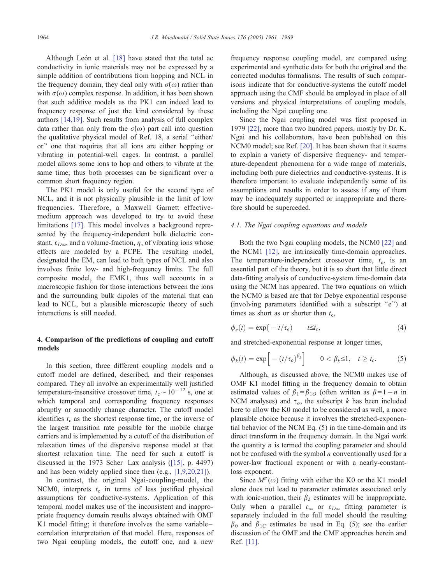Although León et al.  $[18]$  have stated that the total ac conductivity in ionic materials may not be expressed by a simple addition of contributions from hopping and NCL in the frequency domain, they deal only with  $\sigma(\omega)$  rather than with  $\sigma(\omega)$  complex response. In addition, it has been shown that such additive models as the PK1 can indeed lead to frequency response of just the kind considered by these authors [\[14,19\].](#page-8-0) Such results from analysis of full complex data rather than only from the  $\sigma(\omega)$  part call into question the qualitative physical model of Ref. 18, a serial ''either/ or'' one that requires that all ions are either hopping or vibrating in potential-well cages. In contrast, a parallel model allows some ions to hop and others to vibrate at the same time; thus both processes can be significant over a common short frequency region.

The PK1 model is only useful for the second type of NCL, and it is not physically plausible in the limit of low frequencies. Therefore, a Maxwell-Garnett effectivemedium approach was developed to try to avoid these limitations [\[17\].](#page-8-0) This model involves a background represented by the frequency-independent bulk dielectric constant,  $\varepsilon_{D\infty}$ , and a volume-fraction,  $\eta$ , of vibrating ions whose effects are modeled by a PCPE. The resulting model, designated the EM, can lead to both types of NCL and also involves finite low- and high-frequency limits. The full composite model, the EMK1, thus well accounts in a macroscopic fashion for those interactions between the ions and the surrounding bulk dipoles of the material that can lead to NCL, but a plausible microscopic theory of such interactions is still needed.

# 4. Comparison of the predictions of coupling and cutoff models

In this section, three different coupling models and a cutoff model are defined, described, and their responses compared. They all involve an experimentally well justified temperature-insensitive crossover time,  $t_c \sim 10^{-12}$  s, one at which temporal and corresponding frequency responses abruptly or smoothly change character. The cutoff model identifies  $t_c$  as the shortest response time, or the inverse of the largest transition rate possible for the mobile charge carriers and is implemented by a cutoff of the distribution of relaxation times of the dispersive response model at that shortest relaxation time. The need for such a cutoff is discussed in the 1973 Scher-Lax analysis ([\[15\],](#page-8-0) p. 4497) and has been widely applied since then (e.g., [\[1,9,20,21\]\)](#page-8-0).

In contrast, the original Ngai-coupling-model, the NCM0, interprets  $t_c$  in terms of less justified physical assumptions for conductive-systems. Application of this temporal model makes use of the inconsistent and inappropriate frequency domain results always obtained with OMF K1 model fitting; it therefore involves the same variablecorrelation interpretation of that model. Here, responses of two Ngai coupling models, the cutoff one, and a new

frequency response coupling model, are compared using experimental and synthetic data for both the original and the corrected modulus formalisms. The results of such comparisons indicate that for conductive-systems the cutoff model approach using the CMF should be employed in place of all versions and physical interpretations of coupling models, including the Ngai coupling one.

Since the Ngai coupling model was first proposed in 1979 [\[22\],](#page-8-0) more than two hundred papers, mostly by Dr. K. Ngai and his collaborators, have been published on this NCM0 model; see Ref. [\[20\].](#page-8-0) It has been shown that it seems to explain a variety of dispersive frequency- and temperature-dependent phenomena for a wide range of materials, including both pure dielectrics and conductive-systems. It is therefore important to evaluate independently some of its assumptions and results in order to assess if any of them may be inadequately supported or inappropriate and therefore should be superceded.

#### 4.1. The Ngai coupling equations and models

Both the two Ngai coupling models, the NCM0 [\[22\]](#page-8-0) and the NCM1 [\[12\],](#page-8-0) are intrinsically time-domain approaches. The temperature-independent crossover time,  $t_c$ , is an essential part of the theory, but it is so short that little direct data-fitting analysis of conductive-system time-domain data using the NCM has appeared. The two equations on which the NCM0 is based are that for Debye exponential response (involving parameters identified with a subscript ''e'') at times as short as or shorter than  $t_c$ ,

$$
\phi_e(t) = \exp(-t/\tau_e) \qquad t \leq t_c, \tag{4}
$$

and stretched-exponential response at longer times,

$$
\phi_k(t) = \exp\Big[-(t/\tau_o)^{\beta_k}\Big] \qquad 0 < \beta_k \le 1, \quad t \ge t_c. \tag{5}
$$

Although, as discussed above, the NCM0 makes use of OMF K1 model fitting in the frequency domain to obtain estimated values of  $\beta_1 = \beta_{10}$  (often written as  $\beta = 1 - n$  in NCM analyses) and  $\tau_o$ , the subscript k has been included here to allow the K0 model to be considered as well, a more plausible choice because it involves the stretched-exponential behavior of the NCM Eq. (5) in the time-domain and its direct transform in the frequency domain. In the Ngai work the quantity  $n$  is termed the coupling parameter and should not be confused with the symbol  $n$  conventionally used for a power-law fractional exponent or with a nearly-constantloss exponent.

Since  $M''(\omega)$  fitting with either the K0 or the K1 model alone does not lead to parameter estimates associated only with ionic-motion, their  $\beta_k$  estimates will be inappropriate. Only when a parallel  $\varepsilon_{\infty}$  or  $\varepsilon_{D\infty}$  fitting parameter is separately included in the full model should the resulting  $\beta_0$  and  $\beta_{1C}$  estimates be used in Eq. (5); see the earlier discussion of the OMF and the CMF approaches herein and Ref. [\[11\].](#page-8-0)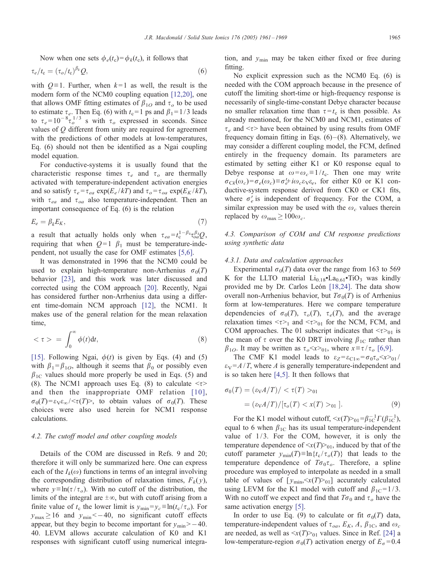Now when one sets  $\phi_e(t_c) = \phi_k(t_c)$ , it follows that

$$
\tau_e/t_c = (\tau_o/t_c)^{\beta_k} Q,\tag{6}
$$

with  $Q = 1$ . Further, when  $k = 1$  as well, the result is the modern form of the NCM0 coupling equation [12,20], one that allows OMF fitting estimates of  $\beta_{1O}$  and  $\tau_o$  to be used to estimate  $\tau_e$ . Then Eq. (6) with  $t_c=1$  ps and  $\beta_1=1/3$  leads to  $\tau_e = 10^{-8} \tau_o^{1/3}$  s with  $\tau_o$  expressed in seconds. Since values of Q different from unity are required for agreement with the predictions of other models at low-temperatures, Eq. (6) should not then be identified as a Ngai coupling model equation.

For conductive-systems it is usually found that the characteristic response times  $\tau_e$  and  $\tau_o$  are thermally activated with temperature-independent activation energies and so satisfy  $\tau_e = \tau_{ea} \exp(E_e / kT)$  and  $\tau_o = \tau_{oa} \exp(E_K / kT)$ , with  $\tau_{ea}$  and  $\tau_{oa}$  also temperature-independent. Then an important consequence of Eq. (6) is the relation

$$
E_e = \beta_k E_K,\tag{7}
$$

a result that actually holds only when  $\tau_{ea} = t_c^{1-\beta_k} \tau_{oa}^{\beta_k} Q$ , requiring that when  $Q=1$   $\beta_1$  must be temperature-independent, not usually the case for OMF estimates [5,6].

It was demonstrated in 1996 that the NCM0 could be used to explain high-temperature non-Arrhenius  $\sigma_0(T)$ behavior [23], and this work was later discussed and corrected using the COM approach [20]. Recently, Ngai has considered further non-Arrhenius data using a different time-domain NCM approach [12], the NCM1. It makes use of the general relation for the mean relaxation time,

$$
\langle \tau \rangle = \int_0^\infty \phi(t) \mathrm{d}t,\tag{8}
$$

[15]. Following Ngai,  $\phi(t)$  is given by Eqs. (4) and (5) with  $\beta_1 = \beta_{1O}$ , although it seems that  $\beta_0$  or possibly even  $\beta_{1C}$  values should more properly be used in Eqs. (5) and (8). The NCM1 approach uses Eq. (8) to calculate  $\langle \tau \rangle$ and then the inappropriate OMF relation [10],  $\sigma_0(T) = \varepsilon_V \varepsilon_\infty / \langle \tau(T) \rangle$ , to obtain values of  $\sigma_0(T)$ . These choices were also used herein for NCM1 response calculations.

## 4.2. The cutoff model and other coupling models

Details of the COM are discussed in Refs. 9 and 20; therefore it will only be summarized here. One can express each of the  $I_k(\omega)$  functions in terms of an integral involving the corresponding distribution of relaxation times,  $F_k(y)$ , where  $y = \ln(\tau / \tau_o)$ . With no cutoff of the distribution, the limits of the integral are  $\pm\infty$ , but with cutoff arising from a finite value of  $t_c$  the lower limit is  $y_{\text{min}}=y_c \equiv \ln(t_c / \tau_o)$ . For  $y_{\text{max}} \ge 16$  and  $y_{\text{min}} \le -40$ , no significant cutoff effects appear, but they begin to become important for  $y_{\text{min}} > -40$ . 40. LEVM allows accurate calculation of K0 and K1 responses with significant cutoff using numerical integration, and  $y_{\text{min}}$  may be taken either fixed or free during fitting.

No explicit expression such as the NCM0 Eq. (6) is needed with the COM approach because in the presence of cutoff the limiting short-time or high-frequency response is necessarily of single-time-constant Debye character because no smaller relaxation time than  $\tau = t_c$  is then possible. As already mentioned, for the NCM0 and NCM1, estimates of  $\tau_e$  and  $\ll$  have been obtained by using results from OMF frequency domain fitting in Eqs.  $(6)$ – $(8)$ . Alternatively, we may consider a different coupling model, the FCM, defined entirely in the frequency domain. Its parameters are estimated by setting either K1 or K0 response equal to Debye response at  $\omega = \omega_c = 1/t_c$ . Then one may write  $\sigma_{Ck}(\omega_c) = \sigma_e(\omega_c) \equiv \sigma'_e + i\omega_c \varepsilon_v \varepsilon_e$ , for either K0 or K1 conductive-system response derived from CK0 or CK1 fits, where  $\sigma'_{e}$  is independent of frequency. For the COM, a similar expression may be used with the  $\omega_c$  values therein replaced by  $\omega_{\text{max}} \ge 100\omega_c$ .

## 4.3. Comparison of COM and CM response predictions using synthetic data

## 4.3.1. Data and calculation approaches

Experimental  $\sigma_0(T)$  data over the range from 163 to 569 K for the LLTO material  $Li_{0.18}$ <sup>.</sup>La<sub>0.61</sub>. TiO<sub>3</sub> was kindly provided me by Dr. Carlos León [\[18,24\].](#page-8-0) The data show overall non-Arrhenius behavior, but  $T\sigma_0(T)$  is of Arrhenius form at low-temperatures. Here we compare temperature dependencies of  $\sigma_0(T)$ ,  $\tau_o(T)$ ,  $\tau_e(T)$ , and the average relaxation times  $\langle \tau \rangle$  and  $\langle \tau \rangle$ <sub>01</sub> for the NCM, FCM, and COM approaches. The 01 subscript indicates that  $\langle \tau \rangle_{01}$  is the mean of  $\tau$  over the K0 DRT involving  $\beta_{1C}$  rather than  $\beta_{10}$ . It may be written as  $\tau_0 \ll x > 01$ , where  $x \equiv \tau / \tau_0$  [\[6,9\].](#page-8-0)

The CMF K1 model leads to  $\varepsilon_Z = \varepsilon_{C1\infty} = \sigma_0 \tau_o \langle x \rangle_{01} /$  $\epsilon_V = A / T$ , where A is generally temperature-independent and is so taken here [\[4,5\].](#page-8-0) It then follows that

$$
\sigma_0(T) = (\varepsilon_V A/T) / <\tau(T) >_{01}
$$
  
=  $(\varepsilon_V A/T) / [\tau_o(T) < x(T) >_{01}].$  (9)

For the K1 model without cutoff,  $\langle x(T) \rangle_0 = \beta_{1C}^{-1} \Gamma(\beta_{1C}^{-1}),$ equal to 6 when  $\beta_{1C}$  has its usual temperature-independent value of  $1/3$ . For the COM, however, it is only the temperature dependence of  $\langle x(T) \rangle$ <sub>01</sub>, induced by that of the cutoff parameter  $y_{\text{min}}(T) \equiv \ln \{t_c / \tau_o(T)\}$  that leads to the temperature dependence of  $T\sigma_0\tau_o$ . Therefore, a spline procedure was employed to interpolate as needed in a small table of values of  $[y_{\text{min}}, \langle x(T) \rangle_{01}]$  accurately calculated using LEVM for the K1 model with cutoff and  $\beta_{1C} = 1/3$ . With no cutoff we expect and find that  $T\sigma_0$  and  $\tau_o$  have the same activation energy [\[5\].](#page-8-0)

In order to use Eq. (9) to calculate or fit  $\sigma_0(T)$  data, temperature-independent values of  $\tau_{oa}$ ,  $E_K$ , A,  $\beta_{1C}$ , and  $\omega_c$ are needed, as well as  $\langle x(T) \rangle$ <sub>01</sub> values. Since in Ref. [\[24\]](#page-8-0) a low-temperature-region  $\sigma_0(T)$  activation energy of  $E_{\sigma} = 0.4$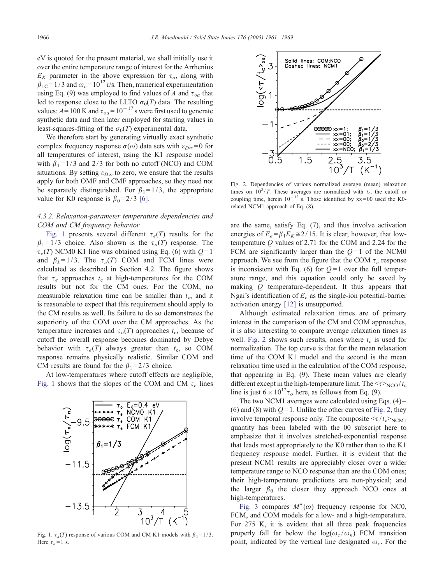<span id="page-5-0"></span>eV is quoted for the present material, we shall initially use it over the entire temperature range of interest for the Arrhenius  $E_K$  parameter in the above expression for  $\tau_o$ , along with  $\beta_{1C}$ = 1/3 and  $\omega_c$  = 10<sup>12</sup> r/s. Then, numerical experimentation using Eq. (9) was employed to find values of A and  $\tau_{oa}$  that led to response close to the LLTO  $\sigma_0(T)$  data. The resulting values:  $A = 100$  K and  $\tau_{oa} = 10^{-17}$  s were first used to generate synthetic data and then later employed for starting values in least-squares-fitting of the  $\sigma_0(T)$  experimental data.

We therefore start by generating virtually exact synthetic complex frequency response  $\sigma(\omega)$  data sets with  $\varepsilon_{D\infty} = 0$  for all temperatures of interest, using the K1 response model with  $\beta_1 = 1/3$  and 2/3 for both no cutoff (NCO) and COM situations. By setting  $\varepsilon_{D\infty}$  to zero, we ensure that the results apply for both OMF and CMF approaches, so they need not be separately distinguished. For  $\beta_1 = 1/3$ , the appropriate value for K0 response is  $\beta_0$ =2/3 [\[6\].](#page-8-0)

## 4.3.2. Relaxation-parameter temperature dependencies and COM and CM frequency behavior

Fig. 1 presents several different  $\tau_e(T)$  results for the  $\beta_1 = 1/3$  choice. Also shown is the  $\tau_o(T)$  response. The  $\tau_e(T)$  NCM0 K1 line was obtained using Eq. (6) with  $Q=1$ and  $\beta_k = 1/3$ . The  $\tau_e(T)$  COM and FCM lines were calculated as described in Section 4.2. The figure shows that  $\tau_e$  approaches  $t_c$  at high-temperatures for the COM results but not for the CM ones. For the COM, no measurable relaxation time can be smaller than  $t_c$ , and it is reasonable to expect that this requirement should apply to the CM results as well. Its failure to do so demonstrates the superiority of the COM over the CM approaches. As the temperature increases and  $\tau_o(T)$  approaches  $t_c$ , because of cutoff the overall response becomes dominated by Debye behavior with  $\tau_e(T)$  always greater than  $t_c$ , so COM response remains physically realistic. Similar COM and CM results are found for the  $\beta_1 = 2/3$  choice.

At low-temperatures where cutoff effects are negligible, Fig. 1 shows that the slopes of the COM and CM  $\tau_e$  lines



Fig. 1.  $\tau_x(T)$  response of various COM and CM K1 models with  $\beta_1 = 1/3$ . Here  $\tau_n = 1$  s.



Fig. 2. Dependencies of various normalized average (mean) relaxation times on  $10^3/T$ . These averages are normalized with  $t_c$ , the cutoff or coupling time, herein  $10^{-12}$  s. Those identified by  $xx = 00$  used the K0related NCM1 approach of Eq. (8).

are the same, satisfy Eq. (7), and thus involve activation energies of  $E_e = \beta_1 E_K \approx 2/15$ . It is clear, however, that lowtemperature Q values of 2.71 for the COM and 2.24 for the FCM are significantly larger than the  $Q=1$  of the NCM0 approach. We see from the figure that the COM  $\tau_e$  response is inconsistent with Eq. (6) for  $Q=1$  over the full temperature range, and this equation could only be saved by making  $Q$  temperature-dependent. It thus appears that Ngai's identification of  $E_e$  as the single-ion potential-barrier activation energy [\[12\]](#page-8-0) is unsupported.

Although estimated relaxation times are of primary interest in the comparison of the CM and COM approaches, it is also interesting to compare average relaxation times as well. Fig. 2 shows such results, ones where  $t_c$  is used for normalization. The top curve is that for the mean relaxation time of the COM K1 model and the second is the mean relaxation time used in the calculation of the COM response, that appearing in Eq. (9). These mean values are clearly different except in the high-temperature limit. The  $\langle \tau \rangle_{\text{NCO}}/t_c$ line is just  $6 \times 10^{12} \tau_o$  here, as follows from Eq. (9).

The two NCM1 averages were calculated using Eqs. (4) – (6) and (8) with  $Q=1$ . Unlike the other curves of Fig. 2, they involve temporal response only. The composite  $\langle \tau / t_{\rm c} \rangle_{\rm NCM1}$ quantity has been labeled with the 00 subscript here to emphasize that it involves stretched-exponential response that leads most appropriately to the K0 rather than to the K1 frequency response model. Further, it is evident that the present NCM1 results are appreciably closer over a wider temperature range to NCO response than are the COM ones; their high-temperature predictions are non-physical; and the larger  $\beta_0$  the closer they approach NCO ones at high-temperatures.

[Fig. 3](#page-6-0) compares  $M''(\omega)$  frequency response for NC0, FCM, and COM models for a low- and a high-temperature. For 275 K, it is evident that all three peak frequencies properly fall far below the  $log(\omega_c/\omega_n)$  FCM transition point, indicated by the vertical line designated  $\omega_c$ . For the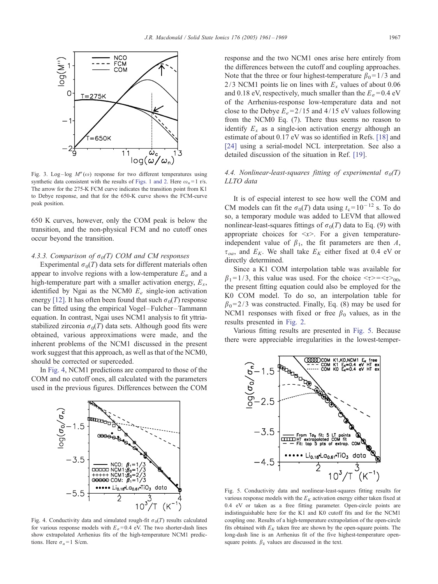<span id="page-6-0"></span>

Fig. 3. Log-log  $M''(\omega)$  response for two different temperatures using synthetic data consistent with the results of [Figs. 1 and 2.](#page-5-0) Here  $\omega_n = 1$  r/s. The arrow for the 275-K FCM curve indicates the transition point from K1 to Debye response, and that for the 650-K curve shows the FCM-curve peak position.

650 K curves, however, only the COM peak is below the transition, and the non-physical FCM and no cutoff ones occur beyond the transition.

## 4.3.3. Comparison of  $\sigma_0(T)$  COM and CM responses

Experimental  $\sigma_0(T)$  data sets for different materials often appear to involve regions with a low-temperature  $E_{\sigma}$  and a high-temperature part with a smaller activation energy,  $E_x$ , identified by Ngai as the NCM0  $E_e$  single-ion activation energy [\[12\].](#page-8-0) It has often been found that such  $\sigma_0(T)$  response can be fitted using the empirical Vogel –Fulcher –Tammann equation. In contrast, Ngai uses NCM1 analysis to fit yttriastabilized zirconia  $\sigma_0(T)$  data sets. Although good fits were obtained, various approximations were made, and the inherent problems of the NCM1 discussed in the present work suggest that this approach, as well as that of the NCM0, should be corrected or superceded.

In Fig. 4, NCM1 predictions are compared to those of the COM and no cutoff ones, all calculated with the parameters used in the previous figures. Differences between the COM



Fig. 4. Conductivity data and simulated rough-fit  $\sigma_0(T)$  results calculated for various response models with  $E<sub>\sigma</sub> = 0.4$  eV. The two shorter-dash lines show extrapolated Arrhenius fits of the high-temperature NCM1 predictions. Here  $\sigma_n = 1$  S/cm.

response and the two NCM1 ones arise here entirely from the differences between the cutoff and coupling approaches. Note that the three or four highest-temperature  $\beta_0 = 1/3$  and 2/3 NCM1 points lie on lines with  $E_x$  values of about 0.06 and 0.18 eV, respectively, much smaller than the  $E_{\sigma}$  = 0.4 eV of the Arrhenius-response low-temperature data and not close to the Debye  $E_e = 2/15$  and  $4/15$  eV values following from the NCM0 Eq. (7). There thus seems no reason to identify  $E_x$  as a single-ion activation energy although an estimate of about 0.17 eV was so identified in Refs. [\[18\]](#page-8-0) and [\[24\]](#page-8-0) using a serial-model NCL interpretation. See also a detailed discussion of the situation in Ref. [\[19\].](#page-8-0)

# 4.4. Nonlinear-least-squares fitting of experimental  $\sigma_0(T)$ LLTO data

It is of especial interest to see how well the COM and CM models can fit the  $\sigma_0(T)$  data using  $t_c = 10^{-12}$  s. To do so, a temporary module was added to LEVM that allowed nonlinear-least-squares fittings of  $\sigma_0(T)$  data to Eq. (9) with appropriate choices for  $\langle x \rangle$ . For a given temperatureindependent value of  $\beta_1$ , the fit parameters are then A,  $\tau_{oa}$ , and  $E_K$ . We shall take  $E_K$  either fixed at 0.4 eV or directly determined.

Since a K1 COM interpolation table was available for  $\beta_1 = 1/3$ , this value was used. For the choice  $\langle \tau \rangle = \langle \tau \rangle_{00}$ , the present fitting equation could also be employed for the K0 COM model. To do so, an interpolation table for  $\beta_0$ = 2/3 was constructed. Finally, Eq. (8) may be used for NCM1 responses with fixed or free  $\beta_0$  values, as in the results presented in [Fig. 2.](#page-5-0)

Various fitting results are presented in Fig. 5. Because there were appreciable irregularities in the lowest-temper-



Fig. 5. Conductivity data and nonlinear-least-squares fitting results for various response models with the  $E<sub>K</sub>$  activation energy either taken fixed at 0.4 eV or taken as a free fitting parameter. Open-circle points are indistinguishable here for the K1 and K0 cutoff fits and for the NCM1 coupling one. Results of a high-temperature extrapolation of the open-circle fits obtained with  $E<sub>K</sub>$  taken free are shown by the open-square points. The long-dash line is an Arrhenius fit of the five highest-temperature opensquare points.  $\beta_k$  values are discussed in the text.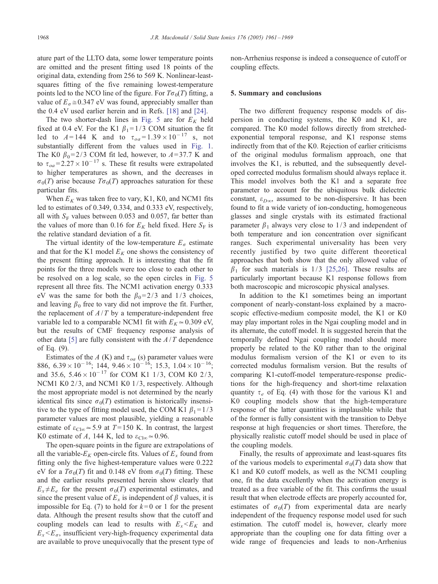ature part of the LLTO data, some lower temperature points are omitted and the present fitting used 18 points of the original data, extending from 256 to 569 K. Nonlinear-leastsquares fitting of the five remaining lowest-temperature points led to the NCO line of the figure. For  $T\sigma_0(T)$  fitting, a value of  $E_{\sigma} \approx 0.347$  eV was found, appreciably smaller than the 0.4 eV used earlier herein and in Refs. [\[18\]](#page-8-0) and [\[24\].](#page-8-0)

The two shorter-dash lines in [Fig. 5](#page-6-0) are for  $E_K$  held fixed at 0.4 eV. For the K1  $\beta_1$ = 1/3 COM situation the fit led to  $A = 144$  K and to  $\tau_{oa} = 1.39 \times 10^{-17}$  s, not substantially different from the values used in [Fig. 1.](#page-5-0) The K0  $\beta_0$ = 2/3 COM fit led, however, to A=37.7 K and to  $\tau_{oa} = 2.27 \times 10^{-17}$  s. These fit results were extrapolated to higher temperatures as shown, and the decreases in  $\sigma_0(T)$  arise because  $T\sigma_0(T)$  approaches saturation for these particular fits.

When  $E_K$  was taken free to vary, K1, K0, and NCM1 fits led to estimates of 0.349, 0.334, and 0.333 eV, respectively, all with  $S_F$  values between 0.053 and 0.057, far better than the values of more than 0.16 for  $E_K$  held fixed. Here  $S_F$  is the relative standard deviation of a fit.

The virtual identity of the low-temperature  $E_{\sigma}$  estimate and that for the K1 model  $E_K$  one shows the consistency of the present fitting approach. It is interesting that the fit points for the three models were too close to each other to be resolved on a log scale, so the open circles in [Fig. 5](#page-6-0) represent all three fits. The NCM1 activation energy 0.333 eV was the same for both the  $\beta_0 = 2/3$  and 1/3 choices, and leaving  $\beta_0$  free to vary did not improve the fit. Further, the replacement of  $A/T$  by a temperature-independent free variable led to a comparable NCM1 fit with  $E_K \approx 0.309$  eV, but the results of CMF frequency response analysis of other data [\[5\]](#page-8-0) are fully consistent with the  $A/T$  dependence of Eq. (9).

Estimates of the A (K) and  $\tau_{oa}$  (s) parameter values were 886,  $6.39 \times 10^{-16}$ ; 144,  $9.46 \times 10^{-16}$ ; 15.3,  $1.04 \times 10^{-16}$ ; and 35.6,  $5.46 \times 10^{-17}$  for COM K1 1/3, COM K0 2/3, NCM1 K0 2/3, and NCM1 K0 1/3, respectively. Although the most appropriate model is not determined by the nearly identical fits since  $\sigma_0(T)$  estimation is historically insensitive to the type of fitting model used, the COM K1  $\beta_1=1/3$ parameter values are most plausible, yielding a reasonable estimate of  $\varepsilon_{\text{Cl}\infty} \approx 5.9$  at  $T = 150$  K. In contrast, the largest K0 estimate of A, 144 K, led to  $\varepsilon_{\text{Cl}\infty} \approx 0.96$ .

The open-square points in the figure are extrapolations of all the variable- $E_K$  open-circle fits. Values of  $E_x$  found from fitting only the five highest-temperature values were 0.222 eV for a  $T\sigma_0(T)$  fit and 0.148 eV from  $\sigma_0(T)$  fitting. These and the earlier results presented herein show clearly that  $E_x \neq E_e$  for the present  $\sigma_0(T)$  experimental estimates, and since the present value of  $E_x$  is independent of  $\beta$  values, it is impossible for Eq. (7) to hold for  $k=0$  or 1 for the present data. Although the present results show that the cutoff and coupling models can lead to results with  $E_x \leq E_K$  and  $E_x \le E_\sigma$ , insufficient very-high-frequency experimental data are available to prove unequivocally that the present type of non-Arrhenius response is indeed a consequence of cutoff or coupling effects.

#### 5. Summary and conclusions

The two different frequency response models of dispersion in conducting systems, the K0 and K1, are compared. The K0 model follows directly from stretchedexponential temporal response, and K1 response stems indirectly from that of the K0. Rejection of earlier criticisms of the original modulus formalism approach, one that involves the K1, is rebutted, and the subsequently developed corrected modulus formalism should always replace it. This model involves both the K1 and a separate free parameter to account for the ubiquitous bulk dielectric constant,  $\varepsilon_{D\infty}$ , assumed to be non-dispersive. It has been found to fit a wide variety of ion-conducting, homogeneous glasses and single crystals with its estimated fractional parameter  $\beta_1$  always very close to 1/3 and independent of both temperature and ion concentration over significant ranges. Such experimental universality has been very recently justified by two quite different theoretical approaches that both show that the only allowed value of  $\beta_1$  for such materials is 1/3 [\[25,26\].](#page-8-0) These results are particularly important because K1 response follows from both macroscopic and microscopic physical analyses.

In addition to the K1 sometimes being an important component of nearly-constant-loss explained by a macroscopic effective-medium composite model, the K1 or K0 may play important roles in the Ngai coupling model and in its alternate, the cutoff model. It is suggested herein that the temporally defined Ngai coupling model should more properly be related to the K0 rather than to the original modulus formalism version of the K1 or even to its corrected modulus formalism version. But the results of comparing K1-cutoff-model temperature-response predictions for the high-frequency and short-time relaxation quantity  $\tau_e$  of Eq. (4) with those for the various K1 and K0 coupling models show that the high-temperature response of the latter quantities is implausible while that of the former is fully consistent with the transition to Debye response at high frequencies or short times. Therefore, the physically realistic cutoff model should be used in place of the coupling models.

Finally, the results of approximate and least-squares fits of the various models to experimental  $\sigma_0(T)$  data show that K1 and K0 cutoff models, as well as the NCM1 coupling one, fit the data excellently when the activation energy is treated as a free variable of the fit. This confirms the usual result that when electrode effects are properly accounted for, estimates of  $\sigma_0(T)$  from experimental data are nearly independent of the frequency response model used for such estimation. The cutoff model is, however, clearly more appropriate than the coupling one for data fitting over a wide range of frequencies and leads to non-Arrhenius